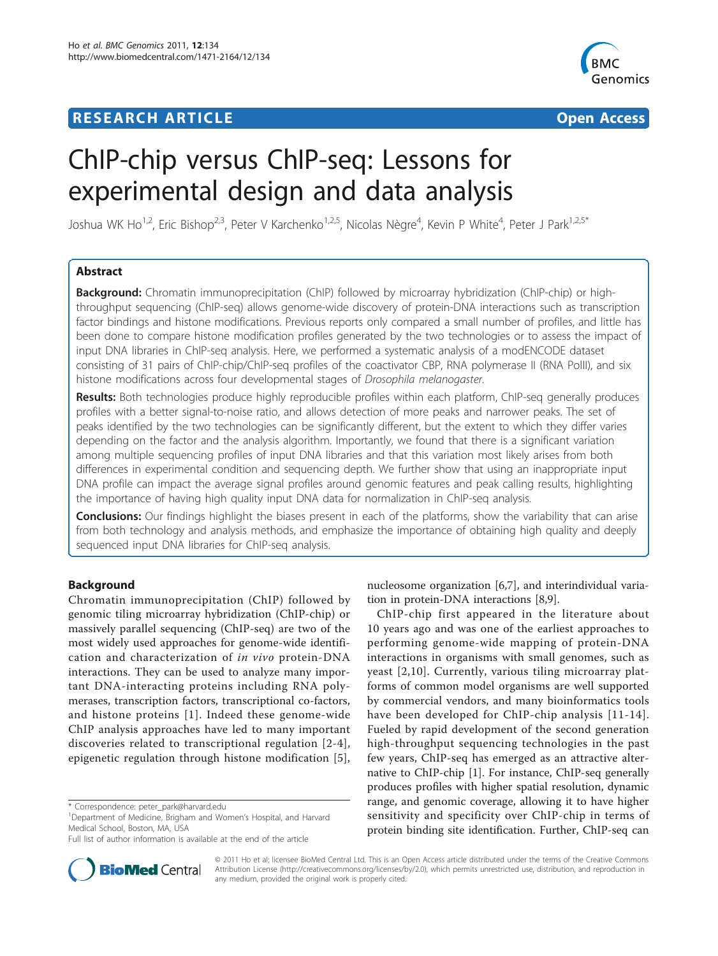## **RESEARCH ARTICLE Example 2018 Open Access**



# ChIP-chip versus ChIP-seq: Lessons for experimental design and data analysis

Joshua WK Ho<sup>1,2</sup>, Eric Bishop<sup>2,3</sup>, Peter V Karchenko<sup>1,2,5</sup>, Nicolas Nègre<sup>4</sup>, Kevin P White<sup>4</sup>, Peter J Park<sup>1,2,5\*</sup>

## Abstract

Background: Chromatin immunoprecipitation (ChIP) followed by microarray hybridization (ChIP-chip) or highthroughput sequencing (ChIP-seq) allows genome-wide discovery of protein-DNA interactions such as transcription factor bindings and histone modifications. Previous reports only compared a small number of profiles, and little has been done to compare histone modification profiles generated by the two technologies or to assess the impact of input DNA libraries in ChIP-seq analysis. Here, we performed a systematic analysis of a modENCODE dataset consisting of 31 pairs of ChIP-chip/ChIP-seq profiles of the coactivator CBP, RNA polymerase II (RNA PolII), and six histone modifications across four developmental stages of Drosophila melanogaster.

Results: Both technologies produce highly reproducible profiles within each platform, ChIP-seq generally produces profiles with a better signal-to-noise ratio, and allows detection of more peaks and narrower peaks. The set of peaks identified by the two technologies can be significantly different, but the extent to which they differ varies depending on the factor and the analysis algorithm. Importantly, we found that there is a significant variation among multiple sequencing profiles of input DNA libraries and that this variation most likely arises from both differences in experimental condition and sequencing depth. We further show that using an inappropriate input DNA profile can impact the average signal profiles around genomic features and peak calling results, highlighting the importance of having high quality input DNA data for normalization in ChIP-seq analysis.

**Conclusions:** Our findings highlight the biases present in each of the platforms, show the variability that can arise from both technology and analysis methods, and emphasize the importance of obtaining high quality and deeply sequenced input DNA libraries for ChIP-seq analysis.

## Background

Chromatin immunoprecipitation (ChIP) followed by genomic tiling microarray hybridization (ChIP-chip) or massively parallel sequencing (ChIP-seq) are two of the most widely used approaches for genome-wide identification and characterization of in vivo protein-DNA interactions. They can be used to analyze many important DNA-interacting proteins including RNA polymerases, transcription factors, transcriptional co-factors, and histone proteins [[1\]](#page-11-0). Indeed these genome-wide ChIP analysis approaches have led to many important discoveries related to transcriptional regulation [[2-4\]](#page-11-0), epigenetic regulation through histone modification [[5](#page-11-0)],

Full list of author information is available at the end of the article



nucleosome organization [[6,7\]](#page-11-0), and interindividual variation in protein-DNA interactions [\[8,9](#page-11-0)].

ChIP-chip first appeared in the literature about 10 years ago and was one of the earliest approaches to performing genome-wide mapping of protein-DNA interactions in organisms with small genomes, such as yeast [[2](#page-11-0),[10\]](#page-11-0). Currently, various tiling microarray platforms of common model organisms are well supported by commercial vendors, and many bioinformatics tools have been developed for ChIP-chip analysis [[11](#page-11-0)-[14\]](#page-11-0). Fueled by rapid development of the second generation high-throughput sequencing technologies in the past few years, ChIP-seq has emerged as an attractive alternative to ChIP-chip [[1\]](#page-11-0). For instance, ChIP-seq generally produces profiles with higher spatial resolution, dynamic range, and genomic coverage, allowing it to have higher sensitivity and specificity over ChIP-chip in terms of protein binding site identification. Further, ChIP-seq can

© 2011 Ho et al; licensee BioMed Central Ltd. This is an Open Access article distributed under the terms of the Creative Commons Attribution License [\(http://creativecommons.org/licenses/by/2.0](http://creativecommons.org/licenses/by/2.0)), which permits unrestricted use, distribution, and reproduction in any medium, provided the original work is properly cited.

<sup>\*</sup> Correspondence: [peter\\_park@harvard.edu](mailto:peter_park@harvard.edu)

<sup>&</sup>lt;sup>1</sup>Department of Medicine, Brigham and Women's Hospital, and Harvard Medical School, Boston, MA, USA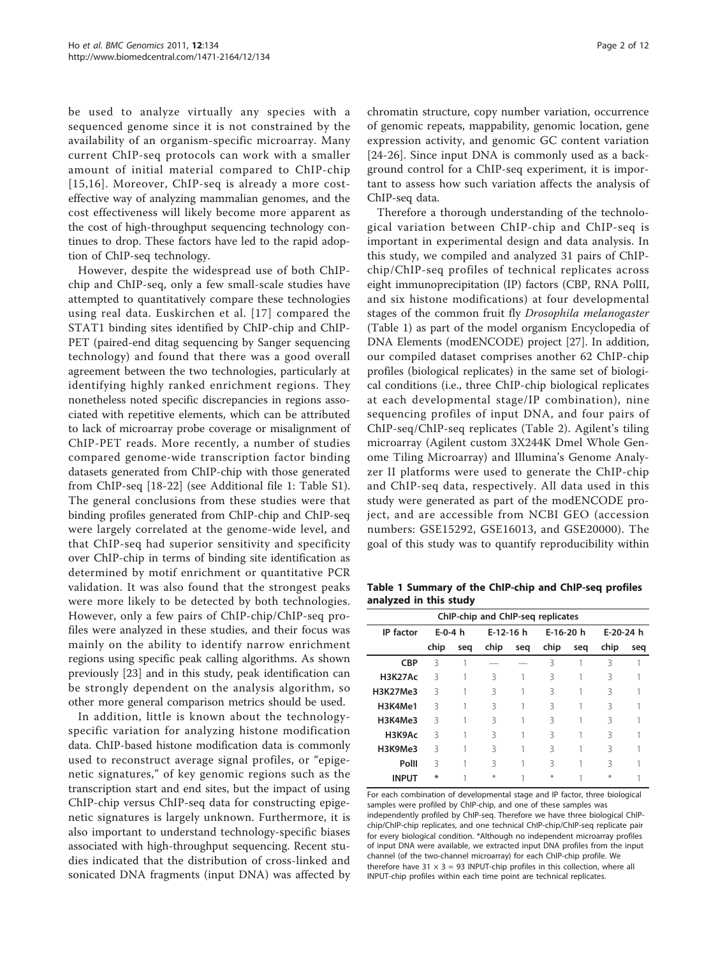be used to analyze virtually any species with a sequenced genome since it is not constrained by the availability of an organism-specific microarray. Many current ChIP-seq protocols can work with a smaller amount of initial material compared to ChIP-chip [[15,16\]](#page-11-0). Moreover, ChIP-seq is already a more costeffective way of analyzing mammalian genomes, and the cost effectiveness will likely become more apparent as the cost of high-throughput sequencing technology continues to drop. These factors have led to the rapid adoption of ChIP-seq technology.

However, despite the widespread use of both ChIPchip and ChIP-seq, only a few small-scale studies have attempted to quantitatively compare these technologies using real data. Euskirchen et al. [[17](#page-11-0)] compared the STAT1 binding sites identified by ChIP-chip and ChIP-PET (paired-end ditag sequencing by Sanger sequencing technology) and found that there was a good overall agreement between the two technologies, particularly at identifying highly ranked enrichment regions. They nonetheless noted specific discrepancies in regions associated with repetitive elements, which can be attributed to lack of microarray probe coverage or misalignment of ChIP-PET reads. More recently, a number of studies compared genome-wide transcription factor binding datasets generated from ChIP-chip with those generated from ChIP-seq [[18-22\]](#page-11-0) (see Additional file [1:](#page-10-0) Table S1). The general conclusions from these studies were that binding profiles generated from ChIP-chip and ChIP-seq were largely correlated at the genome-wide level, and that ChIP-seq had superior sensitivity and specificity over ChIP-chip in terms of binding site identification as determined by motif enrichment or quantitative PCR validation. It was also found that the strongest peaks were more likely to be detected by both technologies. However, only a few pairs of ChIP-chip/ChIP-seq profiles were analyzed in these studies, and their focus was mainly on the ability to identify narrow enrichment regions using specific peak calling algorithms. As shown previously [[23\]](#page-11-0) and in this study, peak identification can be strongly dependent on the analysis algorithm, so other more general comparison metrics should be used.

In addition, little is known about the technologyspecific variation for analyzing histone modification data. ChIP-based histone modification data is commonly used to reconstruct average signal profiles, or "epigenetic signatures," of key genomic regions such as the transcription start and end sites, but the impact of using ChIP-chip versus ChIP-seq data for constructing epigenetic signatures is largely unknown. Furthermore, it is also important to understand technology-specific biases associated with high-throughput sequencing. Recent studies indicated that the distribution of cross-linked and sonicated DNA fragments (input DNA) was affected by Page 2 of 12

chromatin structure, copy number variation, occurrence of genomic repeats, mappability, genomic location, gene expression activity, and genomic GC content variation [[24-26\]](#page-11-0). Since input DNA is commonly used as a background control for a ChIP-seq experiment, it is important to assess how such variation affects the analysis of ChIP-seq data.

Therefore a thorough understanding of the technological variation between ChIP-chip and ChIP-seq is important in experimental design and data analysis. In this study, we compiled and analyzed 31 pairs of ChIPchip/ChIP-seq profiles of technical replicates across eight immunoprecipitation (IP) factors (CBP, RNA PolII, and six histone modifications) at four developmental stages of the common fruit fly Drosophila melanogaster (Table 1) as part of the model organism Encyclopedia of DNA Elements (modENCODE) project [[27](#page-11-0)]. In addition, our compiled dataset comprises another 62 ChIP-chip profiles (biological replicates) in the same set of biological conditions (i.e., three ChIP-chip biological replicates at each developmental stage/IP combination), nine sequencing profiles of input DNA, and four pairs of ChIP-seq/ChIP-seq replicates (Table [2\)](#page-2-0). Agilent's tiling microarray (Agilent custom 3X244K Dmel Whole Genome Tiling Microarray) and Illumina's Genome Analyzer II platforms were used to generate the ChIP-chip and ChIP-seq data, respectively. All data used in this study were generated as part of the modENCODE project, and are accessible from NCBI GEO (accession numbers: GSE15292, GSE16013, and GSE20000). The goal of this study was to quantify reproducibility within

Table 1 Summary of the ChIP-chip and ChIP-seq profiles analyzed in this study

| ChIP-chip and ChIP-seq replicates |           |     |             |     |             |     |             |     |  |
|-----------------------------------|-----------|-----|-------------|-----|-------------|-----|-------------|-----|--|
| IP factor                         | $E-0-4$ h |     | $E-12-16$ h |     | $E-16-20$ h |     | $E-20-24$ h |     |  |
|                                   | chip      | seq | chip        | seq | chip        | sea | chip        | seq |  |
| <b>CBP</b>                        | ζ         |     |             |     | ζ           |     | ζ           |     |  |
| H3K27Ac                           | 3         |     | 3           |     | 3           |     | 3           |     |  |
| H3K27Me3                          | 3         |     | ξ           | 1   | ξ           |     | 3           |     |  |
| H3K4Me1                           | ζ         |     | ξ           | 1   | ζ           |     | 3           |     |  |
| H3K4Me3                           | ζ         |     | ξ           |     | 3           |     | 3           |     |  |
| H3K9Ac                            | ξ         |     | ξ           |     | ζ           |     | 3           |     |  |
| H3K9Me3                           | 3         |     | ξ           | 1   | ζ           |     | 3           |     |  |
| Polll                             | ζ         |     | ζ           | 1   | ζ           |     | ζ           |     |  |
| <b>INPUT</b>                      | ∗         |     | $*$         |     | ₩           |     | ⋇           |     |  |

For each combination of developmental stage and IP factor, three biological samples were profiled by ChIP-chip, and one of these samples was independently profiled by ChIP-seq. Therefore we have three biological ChIPchip/ChIP-chip replicates, and one technical ChIP-chip/ChIP-seq replicate pair for every biological condition. \*Although no independent microarray profiles of input DNA were available, we extracted input DNA profiles from the input channel (of the two-channel microarray) for each ChIP-chip profile. We therefore have  $31 \times 3 = 93$  INPUT-chip profiles in this collection, where all INPUT-chip profiles within each time point are technical replicates.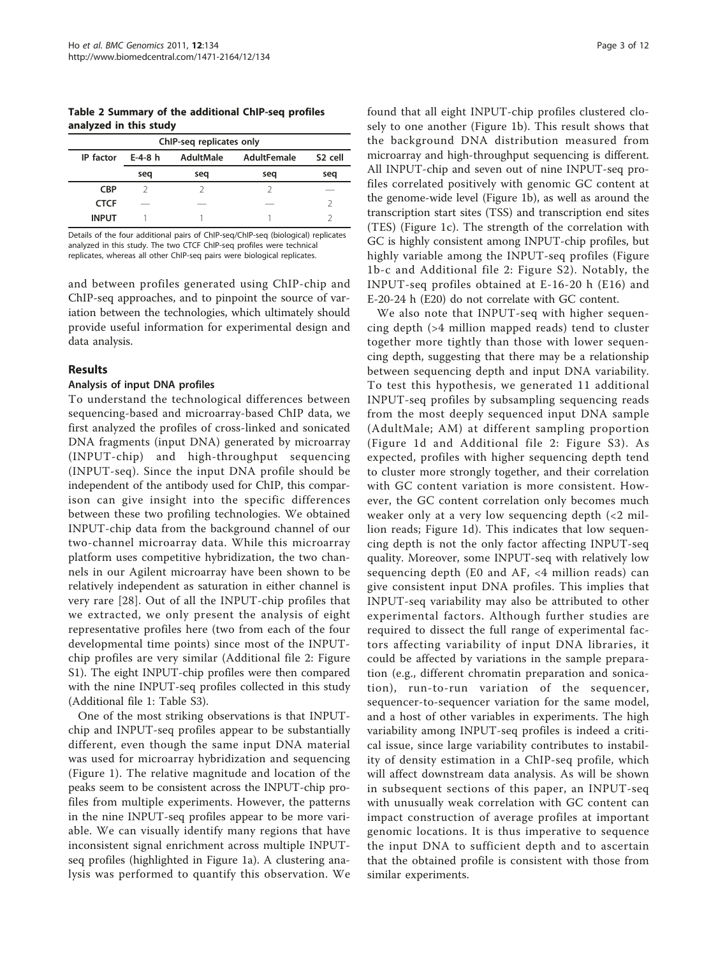<span id="page-2-0"></span>Table 2 Summary of the additional ChIP-seq profiles analyzed in this study

| ChIP-seq replicates only |           |           |             |                     |  |  |  |  |  |
|--------------------------|-----------|-----------|-------------|---------------------|--|--|--|--|--|
| IP factor                | $E-4-8 h$ | AdultMale | AdultFemale | S <sub>2</sub> cell |  |  |  |  |  |
|                          | seq       | seg       | seg         | seq                 |  |  |  |  |  |
| <b>CBP</b>               |           |           |             |                     |  |  |  |  |  |
| <b>CTCF</b>              |           |           |             |                     |  |  |  |  |  |
| <b>INPUT</b>             |           |           |             |                     |  |  |  |  |  |

Details of the four additional pairs of ChIP-seq/ChIP-seq (biological) replicates analyzed in this study. The two CTCF ChIP-seq profiles were technical replicates, whereas all other ChIP-seq pairs were biological replicates.

and between profiles generated using ChIP-chip and ChIP-seq approaches, and to pinpoint the source of variation between the technologies, which ultimately should provide useful information for experimental design and data analysis.

#### Results

#### Analysis of input DNA profiles

To understand the technological differences between sequencing-based and microarray-based ChIP data, we first analyzed the profiles of cross-linked and sonicated DNA fragments (input DNA) generated by microarray (INPUT-chip) and high-throughput sequencing (INPUT-seq). Since the input DNA profile should be independent of the antibody used for ChIP, this comparison can give insight into the specific differences between these two profiling technologies. We obtained INPUT-chip data from the background channel of our two-channel microarray data. While this microarray platform uses competitive hybridization, the two channels in our Agilent microarray have been shown to be relatively independent as saturation in either channel is very rare [\[28\]](#page-11-0). Out of all the INPUT-chip profiles that we extracted, we only present the analysis of eight representative profiles here (two from each of the four developmental time points) since most of the INPUTchip profiles are very similar (Additional file [2:](#page-10-0) Figure S1). The eight INPUT-chip profiles were then compared with the nine INPUT-seq profiles collected in this study (Additional file [1](#page-10-0): Table S3).

One of the most striking observations is that INPUTchip and INPUT-seq profiles appear to be substantially different, even though the same input DNA material was used for microarray hybridization and sequencing (Figure [1\)](#page-3-0). The relative magnitude and location of the peaks seem to be consistent across the INPUT-chip profiles from multiple experiments. However, the patterns in the nine INPUT-seq profiles appear to be more variable. We can visually identify many regions that have inconsistent signal enrichment across multiple INPUTseq profiles (highlighted in Figure [1a\)](#page-3-0). A clustering analysis was performed to quantify this observation. We found that all eight INPUT-chip profiles clustered closely to one another (Figure [1b](#page-3-0)). This result shows that the background DNA distribution measured from microarray and high-throughput sequencing is different. All INPUT-chip and seven out of nine INPUT-seq profiles correlated positively with genomic GC content at the genome-wide level (Figure [1b](#page-3-0)), as well as around the transcription start sites (TSS) and transcription end sites (TES) (Figure [1c](#page-3-0)). The strength of the correlation with GC is highly consistent among INPUT-chip profiles, but highly variable among the INPUT-seq profiles (Figure [1b-c](#page-3-0) and Additional file [2](#page-10-0): Figure S2). Notably, the INPUT-seq profiles obtained at E-16-20 h (E16) and E-20-24 h (E20) do not correlate with GC content.

We also note that INPUT-seq with higher sequencing depth (>4 million mapped reads) tend to cluster together more tightly than those with lower sequencing depth, suggesting that there may be a relationship between sequencing depth and input DNA variability. To test this hypothesis, we generated 11 additional INPUT-seq profiles by subsampling sequencing reads from the most deeply sequenced input DNA sample (AdultMale; AM) at different sampling proportion (Figure [1d](#page-3-0) and Additional file [2:](#page-10-0) Figure S3). As expected, profiles with higher sequencing depth tend to cluster more strongly together, and their correlation with GC content variation is more consistent. However, the GC content correlation only becomes much weaker only at a very low sequencing depth (<2 million reads; Figure [1d\)](#page-3-0). This indicates that low sequencing depth is not the only factor affecting INPUT-seq quality. Moreover, some INPUT-seq with relatively low sequencing depth (E0 and AF,  $\langle 4 \rangle$  million reads) can give consistent input DNA profiles. This implies that INPUT-seq variability may also be attributed to other experimental factors. Although further studies are required to dissect the full range of experimental factors affecting variability of input DNA libraries, it could be affected by variations in the sample preparation (e.g., different chromatin preparation and sonication), run-to-run variation of the sequencer, sequencer-to-sequencer variation for the same model, and a host of other variables in experiments. The high variability among INPUT-seq profiles is indeed a critical issue, since large variability contributes to instability of density estimation in a ChIP-seq profile, which will affect downstream data analysis. As will be shown in subsequent sections of this paper, an INPUT-seq with unusually weak correlation with GC content can impact construction of average profiles at important genomic locations. It is thus imperative to sequence the input DNA to sufficient depth and to ascertain that the obtained profile is consistent with those from similar experiments.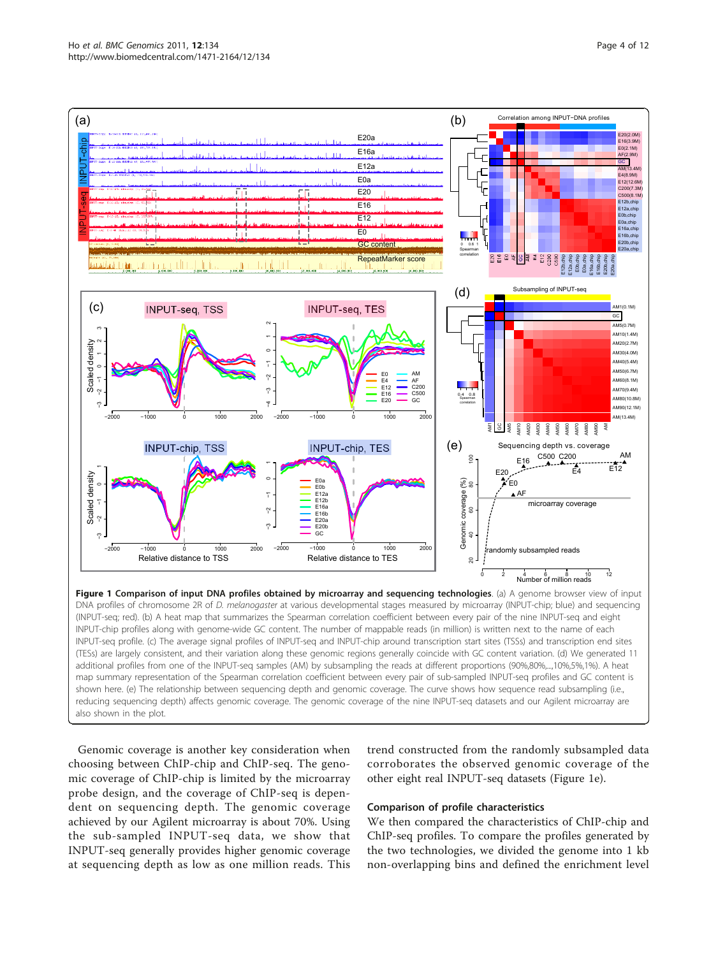<span id="page-3-0"></span>

reducing sequencing depth) affects genomic coverage. The genomic coverage of the nine INPUT-seq datasets and our Agilent microarray are also shown in the plot.

Genomic coverage is another key consideration when choosing between ChIP-chip and ChIP-seq. The genomic coverage of ChIP-chip is limited by the microarray probe design, and the coverage of ChIP-seq is dependent on sequencing depth. The genomic coverage achieved by our Agilent microarray is about 70%. Using the sub-sampled INPUT-seq data, we show that INPUT-seq generally provides higher genomic coverage at sequencing depth as low as one million reads. This trend constructed from the randomly subsampled data corroborates the observed genomic coverage of the other eight real INPUT-seq datasets (Figure 1e).

#### Comparison of profile characteristics

We then compared the characteristics of ChIP-chip and ChIP-seq profiles. To compare the profiles generated by the two technologies, we divided the genome into 1 kb non-overlapping bins and defined the enrichment level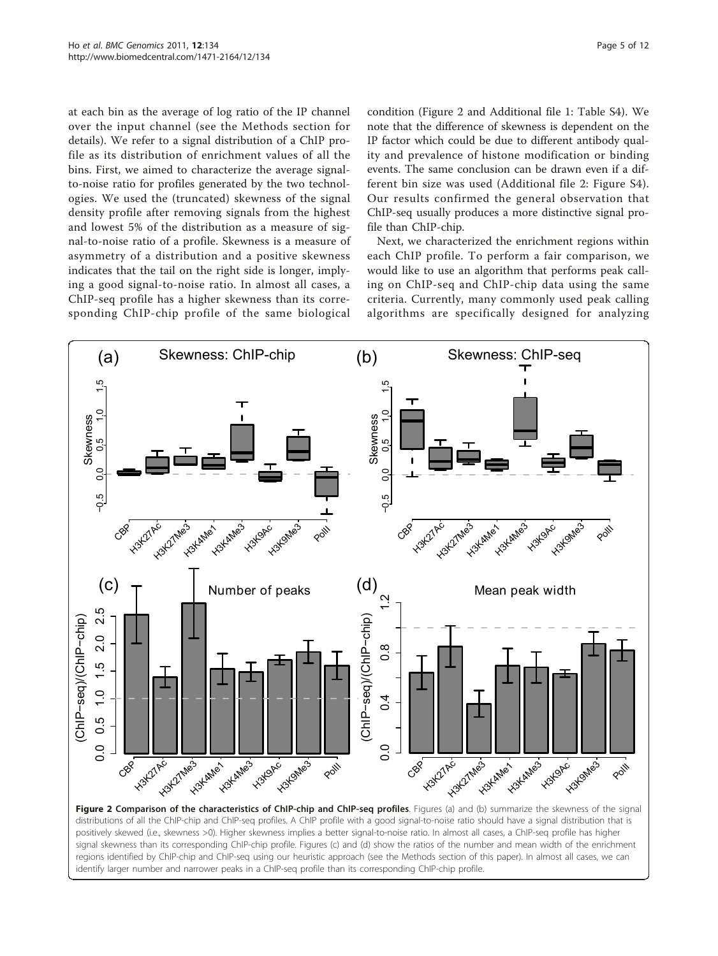<span id="page-4-0"></span>at each bin as the average of log ratio of the IP channel over the input channel (see the Methods section for details). We refer to a signal distribution of a ChIP profile as its distribution of enrichment values of all the bins. First, we aimed to characterize the average signalto-noise ratio for profiles generated by the two technologies. We used the (truncated) skewness of the signal density profile after removing signals from the highest and lowest 5% of the distribution as a measure of signal-to-noise ratio of a profile. Skewness is a measure of asymmetry of a distribution and a positive skewness indicates that the tail on the right side is longer, implying a good signal-to-noise ratio. In almost all cases, a ChIP-seq profile has a higher skewness than its corresponding ChIP-chip profile of the same biological condition (Figure 2 and Additional file [1:](#page-10-0) Table S4). We note that the difference of skewness is dependent on the IP factor which could be due to different antibody quality and prevalence of histone modification or binding events. The same conclusion can be drawn even if a different bin size was used (Additional file [2](#page-10-0): Figure S4). Our results confirmed the general observation that ChIP-seq usually produces a more distinctive signal profile than ChIP-chip.

Next, we characterized the enrichment regions within each ChIP profile. To perform a fair comparison, we would like to use an algorithm that performs peak calling on ChIP-seq and ChIP-chip data using the same criteria. Currently, many commonly used peak calling algorithms are specifically designed for analyzing



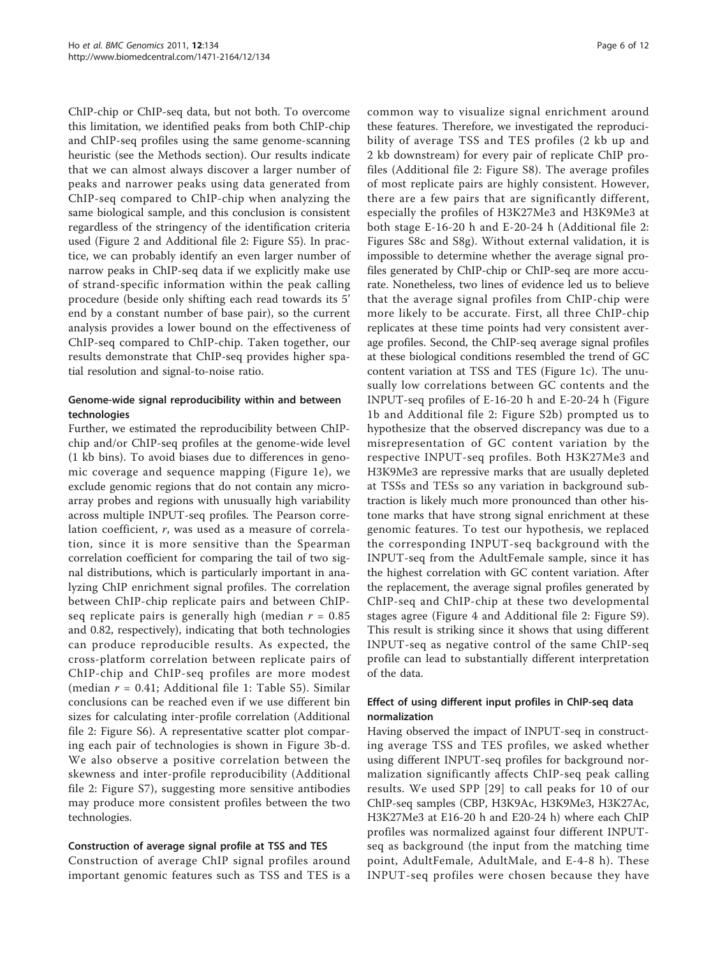ChIP-chip or ChIP-seq data, but not both. To overcome this limitation, we identified peaks from both ChIP-chip and ChIP-seq profiles using the same genome-scanning heuristic (see the Methods section). Our results indicate that we can almost always discover a larger number of peaks and narrower peaks using data generated from ChIP-seq compared to ChIP-chip when analyzing the same biological sample, and this conclusion is consistent regardless of the stringency of the identification criteria used (Figure [2](#page-4-0) and Additional file [2](#page-10-0): Figure S5). In practice, we can probably identify an even larger number of narrow peaks in ChIP-seq data if we explicitly make use of strand-specific information within the peak calling procedure (beside only shifting each read towards its 5' end by a constant number of base pair), so the current analysis provides a lower bound on the effectiveness of ChIP-seq compared to ChIP-chip. Taken together, our results demonstrate that ChIP-seq provides higher spatial resolution and signal-to-noise ratio.

#### Genome-wide signal reproducibility within and between technologies

Further, we estimated the reproducibility between ChIPchip and/or ChIP-seq profiles at the genome-wide level (1 kb bins). To avoid biases due to differences in genomic coverage and sequence mapping (Figure [1e](#page-3-0)), we exclude genomic regions that do not contain any microarray probes and regions with unusually high variability across multiple INPUT-seq profiles. The Pearson correlation coefficient, r, was used as a measure of correlation, since it is more sensitive than the Spearman correlation coefficient for comparing the tail of two signal distributions, which is particularly important in analyzing ChIP enrichment signal profiles. The correlation between ChIP-chip replicate pairs and between ChIPseq replicate pairs is generally high (median  $r = 0.85$ and 0.82, respectively), indicating that both technologies can produce reproducible results. As expected, the cross-platform correlation between replicate pairs of ChIP-chip and ChIP-seq profiles are more modest (median  $r = 0.41$ ; Additional file [1:](#page-10-0) Table S5). Similar conclusions can be reached even if we use different bin sizes for calculating inter-profile correlation (Additional file [2:](#page-10-0) Figure S6). A representative scatter plot comparing each pair of technologies is shown in Figure [3b-d](#page-6-0). We also observe a positive correlation between the skewness and inter-profile reproducibility (Additional file [2](#page-10-0): Figure S7), suggesting more sensitive antibodies may produce more consistent profiles between the two technologies.

## Construction of average signal profile at TSS and TES

Construction of average ChIP signal profiles around important genomic features such as TSS and TES is a

common way to visualize signal enrichment around these features. Therefore, we investigated the reproducibility of average TSS and TES profiles (2 kb up and 2 kb downstream) for every pair of replicate ChIP profiles (Additional file [2:](#page-10-0) Figure S8). The average profiles of most replicate pairs are highly consistent. However, there are a few pairs that are significantly different, especially the profiles of H3K27Me3 and H3K9Me3 at both stage E-16-20 h and E-20-24 h (Additional file [2](#page-10-0): Figures S8c and S8g). Without external validation, it is impossible to determine whether the average signal profiles generated by ChIP-chip or ChIP-seq are more accurate. Nonetheless, two lines of evidence led us to believe that the average signal profiles from ChIP-chip were more likely to be accurate. First, all three ChIP-chip replicates at these time points had very consistent average profiles. Second, the ChIP-seq average signal profiles at these biological conditions resembled the trend of GC content variation at TSS and TES (Figure [1c\)](#page-3-0). The unusually low correlations between GC contents and the INPUT-seq profiles of E-16-20 h and E-20-24 h (Figure [1b](#page-3-0) and Additional file [2](#page-10-0): Figure S2b) prompted us to hypothesize that the observed discrepancy was due to a misrepresentation of GC content variation by the respective INPUT-seq profiles. Both H3K27Me3 and H3K9Me3 are repressive marks that are usually depleted at TSSs and TESs so any variation in background subtraction is likely much more pronounced than other histone marks that have strong signal enrichment at these genomic features. To test our hypothesis, we replaced the corresponding INPUT-seq background with the INPUT-seq from the AdultFemale sample, since it has the highest correlation with GC content variation. After the replacement, the average signal profiles generated by ChIP-seq and ChIP-chip at these two developmental stages agree (Figure [4](#page-7-0) and Additional file [2:](#page-10-0) Figure S9). This result is striking since it shows that using different INPUT-seq as negative control of the same ChIP-seq profile can lead to substantially different interpretation of the data.

## Effect of using different input profiles in ChIP-seq data normalization

Having observed the impact of INPUT-seq in constructing average TSS and TES profiles, we asked whether using different INPUT-seq profiles for background normalization significantly affects ChIP-seq peak calling results. We used SPP [\[29\]](#page-11-0) to call peaks for 10 of our ChIP-seq samples (CBP, H3K9Ac, H3K9Me3, H3K27Ac, H3K27Me3 at E16-20 h and E20-24 h) where each ChIP profiles was normalized against four different INPUTseq as background (the input from the matching time point, AdultFemale, AdultMale, and E-4-8 h). These INPUT-seq profiles were chosen because they have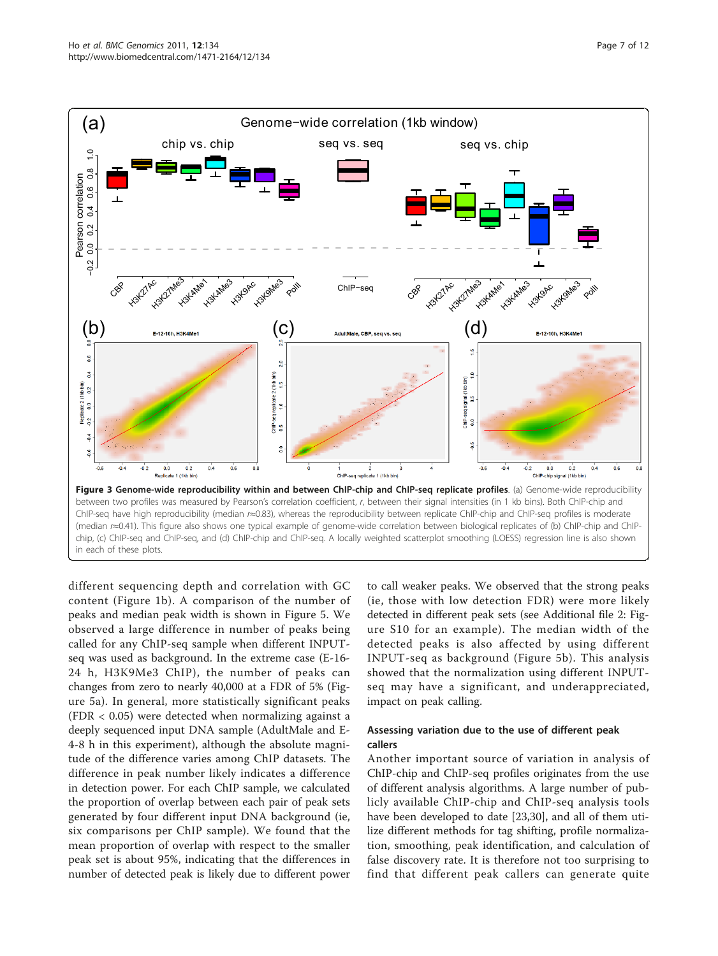<span id="page-6-0"></span>

different sequencing depth and correlation with GC content (Figure [1b](#page-3-0)). A comparison of the number of peaks and median peak width is shown in Figure [5.](#page-8-0) We observed a large difference in number of peaks being called for any ChIP-seq sample when different INPUTseq was used as background. In the extreme case (E-16- 24 h, H3K9Me3 ChIP), the number of peaks can changes from zero to nearly 40,000 at a FDR of 5% (Figure [5a\)](#page-8-0). In general, more statistically significant peaks (FDR < 0.05) were detected when normalizing against a deeply sequenced input DNA sample (AdultMale and E-4-8 h in this experiment), although the absolute magnitude of the difference varies among ChIP datasets. The difference in peak number likely indicates a difference in detection power. For each ChIP sample, we calculated the proportion of overlap between each pair of peak sets generated by four different input DNA background (ie, six comparisons per ChIP sample). We found that the mean proportion of overlap with respect to the smaller peak set is about 95%, indicating that the differences in number of detected peak is likely due to different power

to call weaker peaks. We observed that the strong peaks (ie, those with low detection FDR) were more likely detected in different peak sets (see Additional file [2](#page-10-0): Figure S10 for an example). The median width of the detected peaks is also affected by using different INPUT-seq as background (Figure [5b\)](#page-8-0). This analysis showed that the normalization using different INPUTseq may have a significant, and underappreciated, impact on peak calling.

## Assessing variation due to the use of different peak callers

Another important source of variation in analysis of ChIP-chip and ChIP-seq profiles originates from the use of different analysis algorithms. A large number of publicly available ChIP-chip and ChIP-seq analysis tools have been developed to date [[23](#page-11-0),[30](#page-11-0)], and all of them utilize different methods for tag shifting, profile normalization, smoothing, peak identification, and calculation of false discovery rate. It is therefore not too surprising to find that different peak callers can generate quite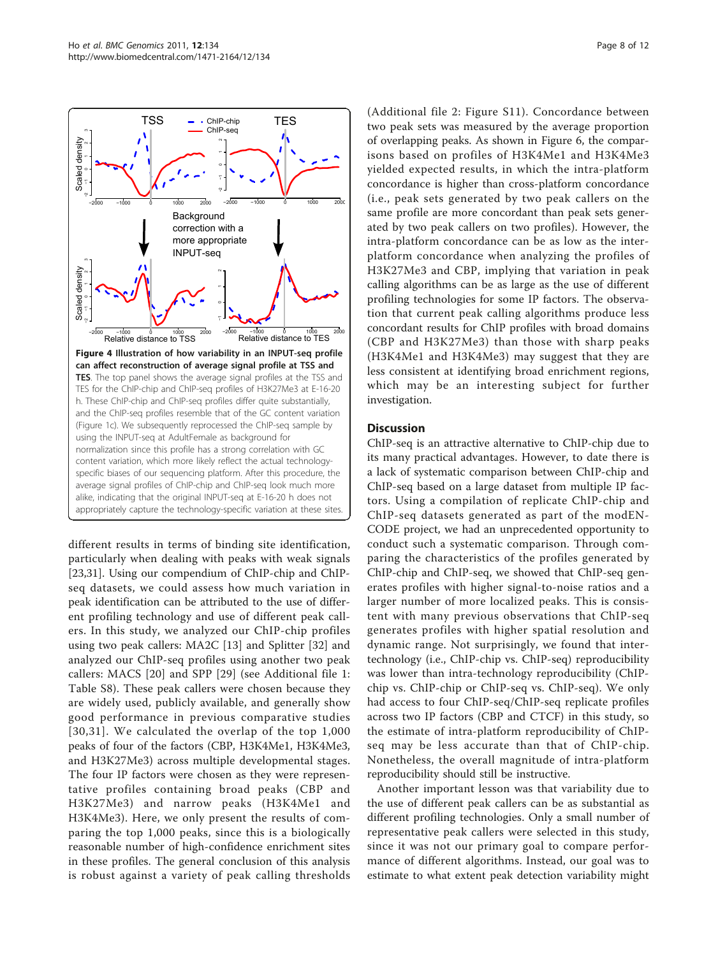<span id="page-7-0"></span>

different results in terms of binding site identification, particularly when dealing with peaks with weak signals [[23,31\]](#page-11-0). Using our compendium of ChIP-chip and ChIPseq datasets, we could assess how much variation in peak identification can be attributed to the use of different profiling technology and use of different peak callers. In this study, we analyzed our ChIP-chip profiles using two peak callers: MA2C [\[13\]](#page-11-0) and Splitter [\[32\]](#page-11-0) and analyzed our ChIP-seq profiles using another two peak callers: MACS [[20](#page-11-0)] and SPP [[29\]](#page-11-0) (see Additional file [1](#page-10-0): Table S8). These peak callers were chosen because they are widely used, publicly available, and generally show good performance in previous comparative studies [[30](#page-11-0),[31](#page-11-0)]. We calculated the overlap of the top 1,000 peaks of four of the factors (CBP, H3K4Me1, H3K4Me3, and H3K27Me3) across multiple developmental stages. The four IP factors were chosen as they were representative profiles containing broad peaks (CBP and H3K27Me3) and narrow peaks (H3K4Me1 and H3K4Me3). Here, we only present the results of comparing the top 1,000 peaks, since this is a biologically reasonable number of high-confidence enrichment sites in these profiles. The general conclusion of this analysis is robust against a variety of peak calling thresholds

(Additional file [2](#page-10-0): Figure S11). Concordance between two peak sets was measured by the average proportion of overlapping peaks. As shown in Figure [6,](#page-8-0) the comparisons based on profiles of H3K4Me1 and H3K4Me3 yielded expected results, in which the intra-platform concordance is higher than cross-platform concordance (i.e., peak sets generated by two peak callers on the same profile are more concordant than peak sets generated by two peak callers on two profiles). However, the intra-platform concordance can be as low as the interplatform concordance when analyzing the profiles of H3K27Me3 and CBP, implying that variation in peak calling algorithms can be as large as the use of different profiling technologies for some IP factors. The observation that current peak calling algorithms produce less concordant results for ChIP profiles with broad domains (CBP and H3K27Me3) than those with sharp peaks (H3K4Me1 and H3K4Me3) may suggest that they are less consistent at identifying broad enrichment regions, which may be an interesting subject for further investigation.

#### **Discussion**

ChIP-seq is an attractive alternative to ChIP-chip due to its many practical advantages. However, to date there is a lack of systematic comparison between ChIP-chip and ChIP-seq based on a large dataset from multiple IP factors. Using a compilation of replicate ChIP-chip and ChIP-seq datasets generated as part of the modEN-CODE project, we had an unprecedented opportunity to conduct such a systematic comparison. Through comparing the characteristics of the profiles generated by ChIP-chip and ChIP-seq, we showed that ChIP-seq generates profiles with higher signal-to-noise ratios and a larger number of more localized peaks. This is consistent with many previous observations that ChIP-seq generates profiles with higher spatial resolution and dynamic range. Not surprisingly, we found that intertechnology (i.e., ChIP-chip vs. ChIP-seq) reproducibility was lower than intra-technology reproducibility (ChIPchip vs. ChIP-chip or ChIP-seq vs. ChIP-seq). We only had access to four ChIP-seq/ChIP-seq replicate profiles across two IP factors (CBP and CTCF) in this study, so the estimate of intra-platform reproducibility of ChIPseq may be less accurate than that of ChIP-chip. Nonetheless, the overall magnitude of intra-platform reproducibility should still be instructive.

Another important lesson was that variability due to the use of different peak callers can be as substantial as different profiling technologies. Only a small number of representative peak callers were selected in this study, since it was not our primary goal to compare performance of different algorithms. Instead, our goal was to estimate to what extent peak detection variability might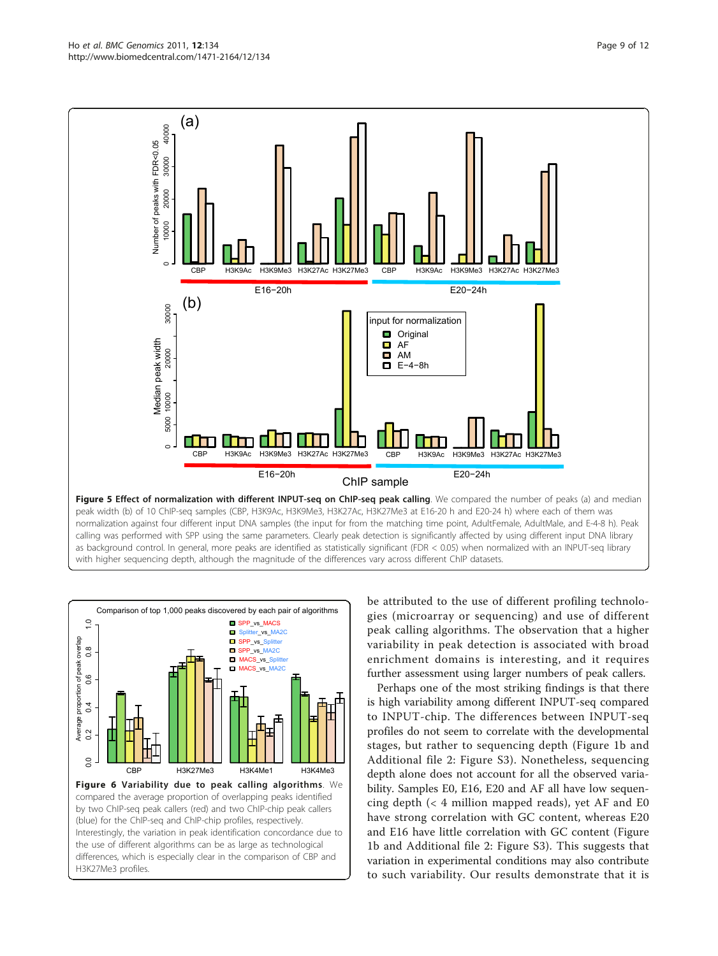<span id="page-8-0"></span>



be attributed to the use of different profiling technologies (microarray or sequencing) and use of different peak calling algorithms. The observation that a higher variability in peak detection is associated with broad enrichment domains is interesting, and it requires further assessment using larger numbers of peak callers.

Perhaps one of the most striking findings is that there is high variability among different INPUT-seq compared to INPUT-chip. The differences between INPUT-seq profiles do not seem to correlate with the developmental stages, but rather to sequencing depth (Figure [1b](#page-3-0) and Additional file [2:](#page-10-0) Figure S3). Nonetheless, sequencing depth alone does not account for all the observed variability. Samples E0, E16, E20 and AF all have low sequencing depth (< 4 million mapped reads), yet AF and E0 have strong correlation with GC content, whereas E20 and E16 have little correlation with GC content (Figure [1b](#page-3-0) and Additional file [2:](#page-10-0) Figure S3). This suggests that variation in experimental conditions may also contribute to such variability. Our results demonstrate that it is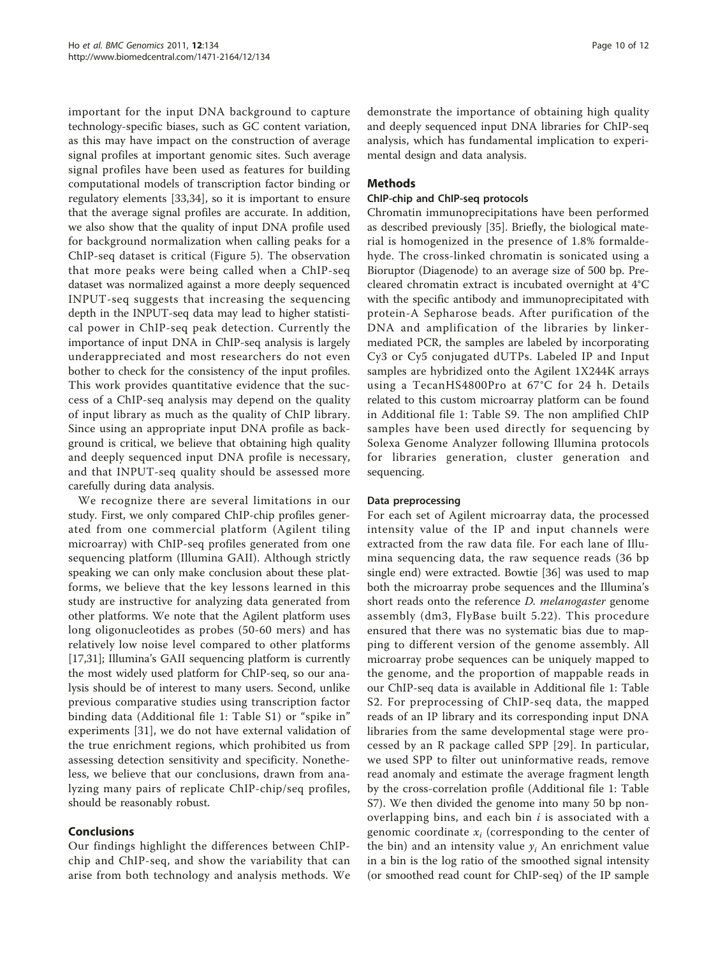important for the input DNA background to capture technology-specific biases, such as GC content variation, as this may have impact on the construction of average signal profiles at important genomic sites. Such average signal profiles have been used as features for building computational models of transcription factor binding or regulatory elements [\[33,34](#page-11-0)], so it is important to ensure that the average signal profiles are accurate. In addition, we also show that the quality of input DNA profile used for background normalization when calling peaks for a ChIP-seq dataset is critical (Figure [5\)](#page-8-0). The observation that more peaks were being called when a ChIP-seq dataset was normalized against a more deeply sequenced INPUT-seq suggests that increasing the sequencing depth in the INPUT-seq data may lead to higher statistical power in ChIP-seq peak detection. Currently the importance of input DNA in ChIP-seq analysis is largely underappreciated and most researchers do not even bother to check for the consistency of the input profiles. This work provides quantitative evidence that the success of a ChIP-seq analysis may depend on the quality of input library as much as the quality of ChIP library. Since using an appropriate input DNA profile as background is critical, we believe that obtaining high quality and deeply sequenced input DNA profile is necessary, and that INPUT-seq quality should be assessed more carefully during data analysis.

We recognize there are several limitations in our study. First, we only compared ChIP-chip profiles generated from one commercial platform (Agilent tiling microarray) with ChIP-seq profiles generated from one sequencing platform (Illumina GAII). Although strictly speaking we can only make conclusion about these platforms, we believe that the key lessons learned in this study are instructive for analyzing data generated from other platforms. We note that the Agilent platform uses long oligonucleotides as probes (50-60 mers) and has relatively low noise level compared to other platforms [[17,31\]](#page-11-0); Illumina's GAII sequencing platform is currently the most widely used platform for ChIP-seq, so our analysis should be of interest to many users. Second, unlike previous comparative studies using transcription factor binding data (Additional file [1:](#page-10-0) Table S1) or "spike in" experiments [\[31](#page-11-0)], we do not have external validation of the true enrichment regions, which prohibited us from assessing detection sensitivity and specificity. Nonetheless, we believe that our conclusions, drawn from analyzing many pairs of replicate ChIP-chip/seq profiles, should be reasonably robust.

#### Conclusions

Our findings highlight the differences between ChIPchip and ChIP-seq, and show the variability that can arise from both technology and analysis methods. We

demonstrate the importance of obtaining high quality and deeply sequenced input DNA libraries for ChIP-seq analysis, which has fundamental implication to experimental design and data analysis.

## Methods

#### ChIP-chip and ChIP-seq protocols

Chromatin immunoprecipitations have been performed as described previously [\[35\]](#page-11-0). Briefly, the biological material is homogenized in the presence of 1.8% formaldehyde. The cross-linked chromatin is sonicated using a Bioruptor (Diagenode) to an average size of 500 bp. Precleared chromatin extract is incubated overnight at 4°C with the specific antibody and immunoprecipitated with protein-A Sepharose beads. After purification of the DNA and amplification of the libraries by linkermediated PCR, the samples are labeled by incorporating Cy3 or Cy5 conjugated dUTPs. Labeled IP and Input samples are hybridized onto the Agilent 1X244K arrays using a TecanHS4800Pro at 67°C for 24 h. Details related to this custom microarray platform can be found in Additional file [1:](#page-10-0) Table S9. The non amplified ChIP samples have been used directly for sequencing by Solexa Genome Analyzer following Illumina protocols for libraries generation, cluster generation and sequencing.

#### Data preprocessing

For each set of Agilent microarray data, the processed intensity value of the IP and input channels were extracted from the raw data file. For each lane of Illumina sequencing data, the raw sequence reads (36 bp single end) were extracted. Bowtie [[36\]](#page-11-0) was used to map both the microarray probe sequences and the Illumina's short reads onto the reference *D. melanogaster* genome assembly (dm3, FlyBase built 5.22). This procedure ensured that there was no systematic bias due to mapping to different version of the genome assembly. All microarray probe sequences can be uniquely mapped to the genome, and the proportion of mappable reads in our ChIP-seq data is available in Additional file [1](#page-10-0): Table S2. For preprocessing of ChIP-seq data, the mapped reads of an IP library and its corresponding input DNA libraries from the same developmental stage were processed by an R package called SPP [\[29\]](#page-11-0). In particular, we used SPP to filter out uninformative reads, remove read anomaly and estimate the average fragment length by the cross-correlation profile (Additional file [1:](#page-10-0) Table S7). We then divided the genome into many 50 bp nonoverlapping bins, and each bin  $i$  is associated with a genomic coordinate  $x_i$  (corresponding to the center of the bin) and an intensity value  $y_i$  An enrichment value in a bin is the log ratio of the smoothed signal intensity (or smoothed read count for ChIP-seq) of the IP sample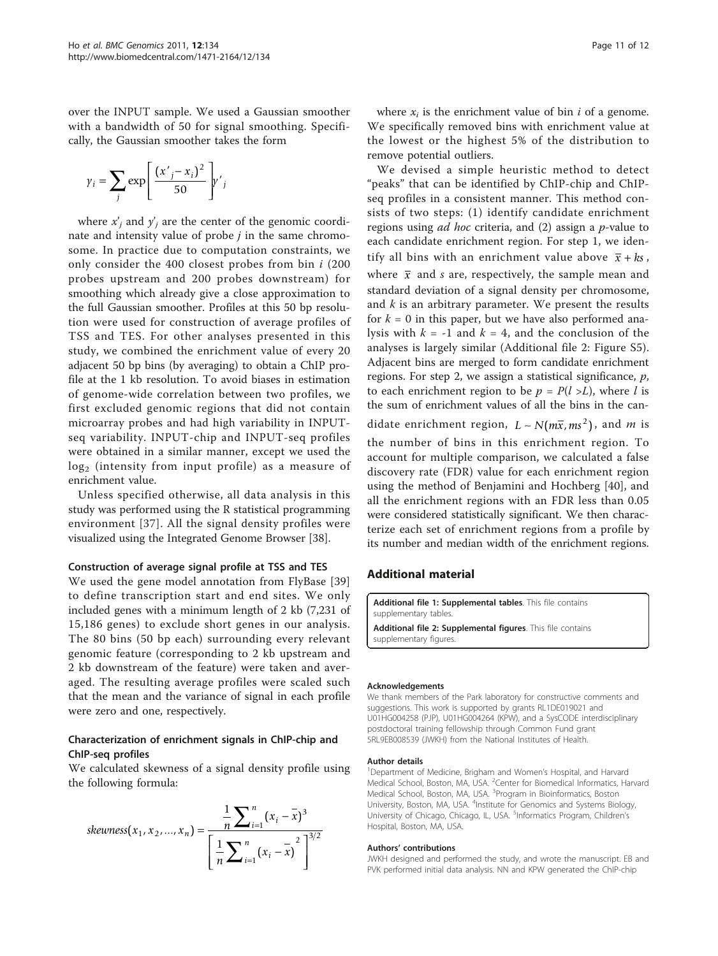<span id="page-10-0"></span>over the INPUT sample. We used a Gaussian smoother with a bandwidth of 50 for signal smoothing. Specifically, the Gaussian smoother takes the form

$$
\gamma_i = \sum_j \exp\left[\frac{(x'_{j} - x_i)^2}{50}\right] y'_{j}
$$

where  $x'_i$  and  $y'_i$  are the center of the genomic coordinate and intensity value of probe  $j$  in the same chromosome. In practice due to computation constraints, we only consider the 400 closest probes from bin  $i$  (200) probes upstream and 200 probes downstream) for smoothing which already give a close approximation to the full Gaussian smoother. Profiles at this 50 bp resolution were used for construction of average profiles of TSS and TES. For other analyses presented in this study, we combined the enrichment value of every 20 adjacent 50 bp bins (by averaging) to obtain a ChIP profile at the 1 kb resolution. To avoid biases in estimation of genome-wide correlation between two profiles, we first excluded genomic regions that did not contain microarray probes and had high variability in INPUTseq variability. INPUT-chip and INPUT-seq profiles were obtained in a similar manner, except we used the log2 (intensity from input profile) as a measure of enrichment value.

Unless specified otherwise, all data analysis in this study was performed using the R statistical programming environment [[37](#page-11-0)]. All the signal density profiles were visualized using the Integrated Genome Browser [\[38](#page-11-0)].

#### Construction of average signal profile at TSS and TES

We used the gene model annotation from FlyBase [\[39](#page-11-0)] to define transcription start and end sites. We only included genes with a minimum length of 2 kb (7,231 of 15,186 genes) to exclude short genes in our analysis. The 80 bins (50 bp each) surrounding every relevant genomic feature (corresponding to 2 kb upstream and 2 kb downstream of the feature) were taken and averaged. The resulting average profiles were scaled such that the mean and the variance of signal in each profile were zero and one, respectively.

## Characterization of enrichment signals in ChIP-chip and ChIP-seq profiles

We calculated skewness of a signal density profile using the following formula:

skewness
$$
(x_1, x_2, ..., x_n)
$$
 = 
$$
\frac{\frac{1}{n} \sum_{i=1}^{n} (x_i - \bar{x})^3}{\left[\frac{1}{n} \sum_{i=1}^{n} (x_i - \bar{x})^2\right]^{3/2}}
$$

where  $x_i$  is the enrichment value of bin *i* of a genome. We specifically removed bins with enrichment value at the lowest or the highest 5% of the distribution to remove potential outliers.

We devised a simple heuristic method to detect "peaks" that can be identified by ChIP-chip and ChIPseq profiles in a consistent manner. This method consists of two steps: (1) identify candidate enrichment regions using *ad hoc* criteria, and  $(2)$  assign a *p*-value to each candidate enrichment region. For step 1, we identify all bins with an enrichment value above  $\bar{x} + k s$ , where  $\bar{x}$  and *s* are, respectively, the sample mean and standard deviation of a signal density per chromosome, and  $k$  is an arbitrary parameter. We present the results for  $k = 0$  in this paper, but we have also performed analysis with  $k = -1$  and  $k = 4$ , and the conclusion of the analyses is largely similar (Additional file 2: Figure S5). Adjacent bins are merged to form candidate enrichment regions. For step 2, we assign a statistical significance,  $p$ , to each enrichment region to be  $p = P(l > L)$ , where l is the sum of enrichment values of all the bins in the candidate enrichment region,  $L \sim N(m\overline{x}, ms^2)$ , and *m* is the number of bins in this enrichment region. To account for multiple comparison, we calculated a false discovery rate (FDR) value for each enrichment region using the method of Benjamini and Hochberg [[40\]](#page-11-0), and all the enrichment regions with an FDR less than 0.05 were considered statistically significant. We then characterize each set of enrichment regions from a profile by its number and median width of the enrichment regions.

#### Additional material

[Additional file 1: S](http://www.biomedcentral.com/content/supplementary/1471-2164-12-134-S1.PDF)upplemental tables. This file contains supplementary tables [Additional file 2: S](http://www.biomedcentral.com/content/supplementary/1471-2164-12-134-S2.PDF)upplemental figures. This file contains

supplementary figures

#### Acknowledgements

We thank members of the Park laboratory for constructive comments and suggestions. This work is supported by grants RL1DE019021 and U01HG004258 (PJP), U01HG004264 (KPW), and a SysCODE interdisciplinary postdoctoral training fellowship through Common Fund grant 5RL9EB008539 (JWKH) from the National Institutes of Health.

#### Author details

<sup>1</sup>Department of Medicine, Brigham and Women's Hospital, and Harvard Medical School, Boston, MA, USA. <sup>2</sup>Center for Biomedical Informatics, Harvard Medical School, Boston, MA, USA. <sup>3</sup>Program in Bioinformatics, Boston University, Boston, MA, USA. <sup>4</sup>Institute for Genomics and Systems Biology, University of Chicago, Chicago, IL, USA. <sup>5</sup>Informatics Program, Children's Hospital, Boston, MA, USA.

#### Authors' contributions

JWKH designed and performed the study, and wrote the manuscript. EB and PVK performed initial data analysis. NN and KPW generated the ChIP-chip